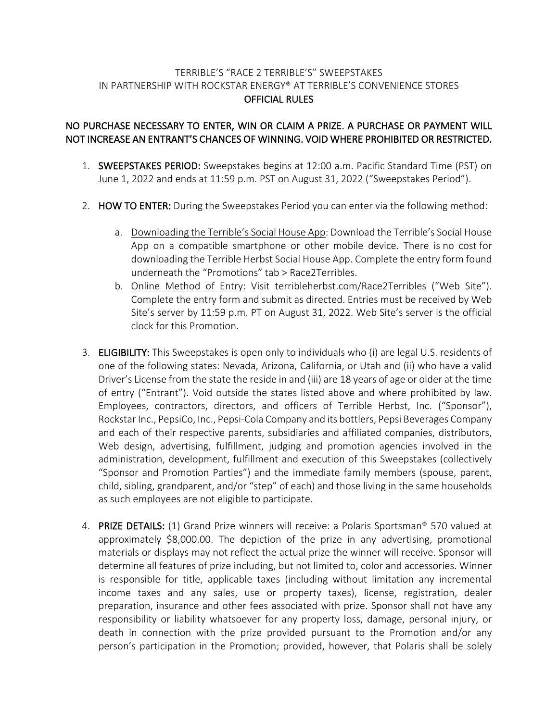## TERRIBLE'S "RACE 2 TERRIBLE'S" SWEEPSTAKES IN PARTNERSHIP WITH ROCKSTAR ENERGY® AT TERRIBLE'S CONVENIENCE STORES OFFICIAL RULES

## NO PURCHASE NECESSARY TO ENTER, WIN OR CLAIM A PRIZE. A PURCHASE OR PAYMENT WILL NOT INCREASE AN ENTRANT'S CHANCES OF WINNING. VOID WHERE PROHIBITED OR RESTRICTED.

- 1. SWEEPSTAKES PERIOD: Sweepstakes begins at 12:00 a.m. Pacific Standard Time (PST) on June 1, 2022 and ends at 11:59 p.m. PST on August 31, 2022 ("Sweepstakes Period").
- 2. HOW TO ENTER: During the Sweepstakes Period you can enter via the following method:
	- a. Downloading the Terrible's Social House App: Download the Terrible's Social House App on a compatible smartphone or other mobile device. There is no cost for downloading the Terrible Herbst Social House App. Complete the entry form found underneath the "Promotions" tab > Race2Terribles.
	- b. Online Method of Entry: Visit terribleherbst.com/Race2Terribles ("Web Site"). Complete the entry form and submit as directed. Entries must be received by Web Site's server by 11:59 p.m. PT on August 31, 2022. Web Site's server is the official clock for this Promotion.
- 3. ELIGIBILITY: This Sweepstakes is open only to individuals who (i) are legal U.S. residents of one of the following states: Nevada, Arizona, California, or Utah and (ii) who have a valid Driver's License from the state the reside in and (iii) are 18 years of age or older at the time of entry ("Entrant"). Void outside the states listed above and where prohibited by law. Employees, contractors, directors, and officers of Terrible Herbst, Inc. ("Sponsor"), Rockstar Inc., PepsiCo, Inc., Pepsi-Cola Company and its bottlers, Pepsi Beverages Company and each of their respective parents, subsidiaries and affiliated companies, distributors, Web design, advertising, fulfillment, judging and promotion agencies involved in the administration, development, fulfillment and execution of this Sweepstakes (collectively "Sponsor and Promotion Parties") and the immediate family members (spouse, parent, child, sibling, grandparent, and/or "step" of each) and those living in the same households as such employees are not eligible to participate.
- 4. PRIZE DETAILS: (1) Grand Prize winners will receive: a Polaris Sportsman® 570 valued at approximately \$8,000.00. The depiction of the prize in any advertising, promotional materials or displays may not reflect the actual prize the winner will receive. Sponsor will determine all features of prize including, but not limited to, color and accessories. Winner is responsible for title, applicable taxes (including without limitation any incremental income taxes and any sales, use or property taxes), license, registration, dealer preparation, insurance and other fees associated with prize. Sponsor shall not have any responsibility or liability whatsoever for any property loss, damage, personal injury, or death in connection with the prize provided pursuant to the Promotion and/or any person's participation in the Promotion; provided, however, that Polaris shall be solely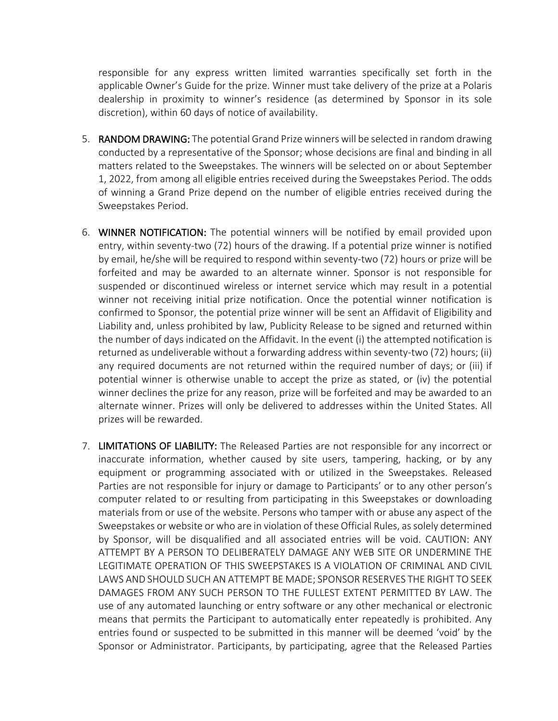responsible for any express written limited warranties specifically set forth in the applicable Owner's Guide for the prize. Winner must take delivery of the prize at a Polaris dealership in proximity to winner's residence (as determined by Sponsor in its sole discretion), within 60 days of notice of availability.

- 5. RANDOM DRAWING: The potential Grand Prize winners will be selected in random drawing conducted by a representative of the Sponsor; whose decisions are final and binding in all matters related to the Sweepstakes. The winners will be selected on or about September 1, 2022, from among all eligible entries received during the Sweepstakes Period. The odds of winning a Grand Prize depend on the number of eligible entries received during the Sweepstakes Period.
- 6. WINNER NOTIFICATION: The potential winners will be notified by email provided upon entry, within seventy-two (72) hours of the drawing. If a potential prize winner is notified by email, he/she will be required to respond within seventy-two (72) hours or prize will be forfeited and may be awarded to an alternate winner. Sponsor is not responsible for suspended or discontinued wireless or internet service which may result in a potential winner not receiving initial prize notification. Once the potential winner notification is confirmed to Sponsor, the potential prize winner will be sent an Affidavit of Eligibility and Liability and, unless prohibited by law, Publicity Release to be signed and returned within the number of days indicated on the Affidavit. In the event (i) the attempted notification is returned as undeliverable without a forwarding address within seventy-two (72) hours; (ii) any required documents are not returned within the required number of days; or (iii) if potential winner is otherwise unable to accept the prize as stated, or (iv) the potential winner declines the prize for any reason, prize will be forfeited and may be awarded to an alternate winner. Prizes will only be delivered to addresses within the United States. All prizes will be rewarded.
- 7. LIMITATIONS OF LIABILITY: The Released Parties are not responsible for any incorrect or inaccurate information, whether caused by site users, tampering, hacking, or by any equipment or programming associated with or utilized in the Sweepstakes. Released Parties are not responsible for injury or damage to Participants' or to any other person's computer related to or resulting from participating in this Sweepstakes or downloading materials from or use of the website. Persons who tamper with or abuse any aspect of the Sweepstakes or website or who are in violation of these Official Rules, as solely determined by Sponsor, will be disqualified and all associated entries will be void. CAUTION: ANY ATTEMPT BY A PERSON TO DELIBERATELY DAMAGE ANY WEB SITE OR UNDERMINE THE LEGITIMATE OPERATION OF THIS SWEEPSTAKES IS A VIOLATION OF CRIMINAL AND CIVIL LAWS AND SHOULD SUCH AN ATTEMPT BE MADE; SPONSOR RESERVES THE RIGHT TO SEEK DAMAGES FROM ANY SUCH PERSON TO THE FULLEST EXTENT PERMITTED BY LAW. The use of any automated launching or entry software or any other mechanical or electronic means that permits the Participant to automatically enter repeatedly is prohibited. Any entries found or suspected to be submitted in this manner will be deemed 'void' by the Sponsor or Administrator. Participants, by participating, agree that the Released Parties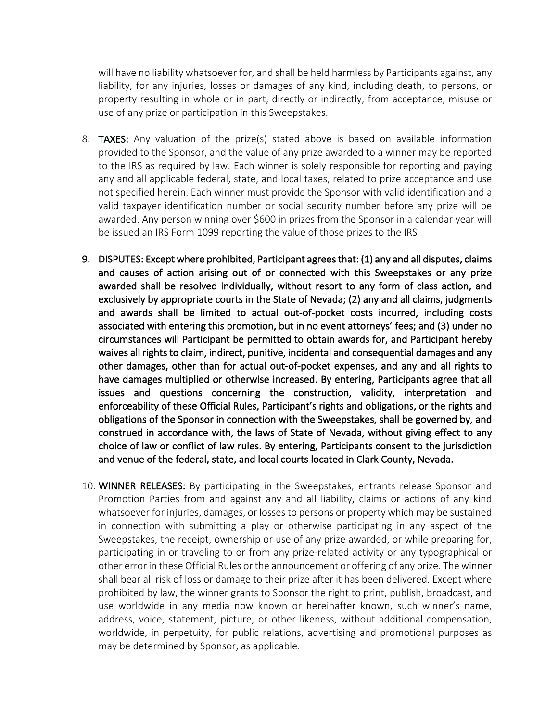will have no liability whatsoever for, and shall be held harmless by Participants against, any liability, for any injuries, losses or damages of any kind, including death, to persons, or property resulting in whole or in part, directly or indirectly, from acceptance, misuse or use of any prize or participation in this Sweepstakes.

- 8. TAXES: Any valuation of the prize(s) stated above is based on available information provided to the Sponsor, and the value of any prize awarded to a winner may be reported to the IRS as required by law. Each winner is solely responsible for reporting and paying any and all applicable federal, state, and local taxes, related to prize acceptance and use not specified herein. Each winner must provide the Sponsor with valid identification and a valid taxpayer identification number or social security number before any prize will be awarded. Any person winning over \$600 in prizes from the Sponsor in a calendar year will be issued an IRS Form 1099 reporting the value of those prizes to the IRS
- 9. DISPUTES: Except where prohibited, Participant agrees that: (1) any and all disputes, claims and causes of action arising out of or connected with this Sweepstakes or any prize awarded shall be resolved individually, without resort to any form of class action, and exclusively by appropriate courts in the State of Nevada; (2) any and all claims, judgments and awards shall be limited to actual out-of-pocket costs incurred, including costs associated with entering this promotion, but in no event attorneys' fees; and (3) under no circumstances will Participant be permitted to obtain awards for, and Participant hereby waives all rights to claim, indirect, punitive, incidental and consequential damages and any other damages, other than for actual out-of-pocket expenses, and any and all rights to have damages multiplied or otherwise increased. By entering, Participants agree that all issues and questions concerning the construction, validity, interpretation and enforceability of these Official Rules, Participant's rights and obligations, or the rights and obligations of the Sponsor in connection with the Sweepstakes, shall be governed by, and construed in accordance with, the laws of State of Nevada, without giving effect to any choice of law or conflict of law rules. By entering, Participants consent to the jurisdiction and venue of the federal, state, and local courts located in Clark County, Nevada.
- 10. WINNER RELEASES: By participating in the Sweepstakes, entrants release Sponsor and Promotion Parties from and against any and all liability, claims or actions of any kind whatsoever for injuries, damages, or losses to persons or property which may be sustained in connection with submitting a play or otherwise participating in any aspect of the Sweepstakes, the receipt, ownership or use of any prize awarded, or while preparing for, participating in or traveling to or from any prize-related activity or any typographical or other error in these Official Rules or the announcement or offering of any prize. The winner shall bear all risk of loss or damage to their prize after it has been delivered. Except where prohibited by law, the winner grants to Sponsor the right to print, publish, broadcast, and use worldwide in any media now known or hereinafter known, such winner's name, address, voice, statement, picture, or other likeness, without additional compensation, worldwide, in perpetuity, for public relations, advertising and promotional purposes as may be determined by Sponsor, as applicable.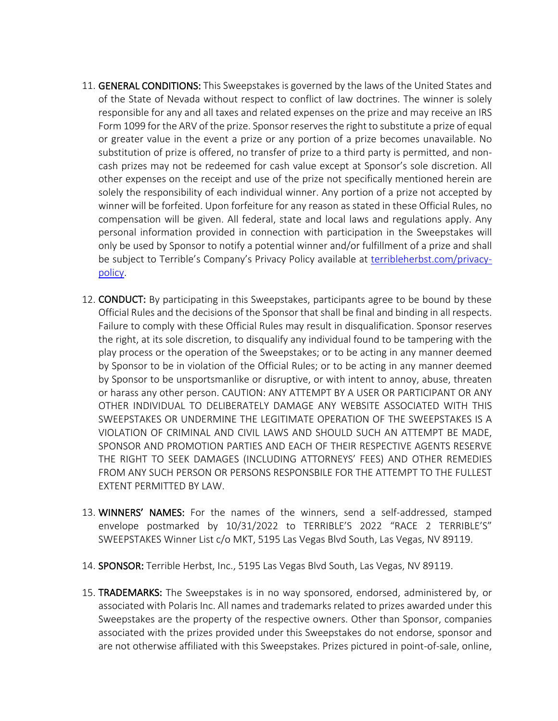- 11. GENERAL CONDITIONS: This Sweepstakes is governed by the laws of the United States and of the State of Nevada without respect to conflict of law doctrines. The winner is solely responsible for any and all taxes and related expenses on the prize and may receive an IRS Form 1099 for the ARV of the prize. Sponsor reserves the right to substitute a prize of equal or greater value in the event a prize or any portion of a prize becomes unavailable. No substitution of prize is offered, no transfer of prize to a third party is permitted, and noncash prizes may not be redeemed for cash value except at Sponsor's sole discretion. All other expenses on the receipt and use of the prize not specifically mentioned herein are solely the responsibility of each individual winner. Any portion of a prize not accepted by winner will be forfeited. Upon forfeiture for any reason as stated in these Official Rules, no compensation will be given. All federal, state and local laws and regulations apply. Any personal information provided in connection with participation in the Sweepstakes will only be used by Sponsor to notify a potential winner and/or fulfillment of a prize and shall be subject to Terrible's Company's Privacy Policy available at terribleherbst.com/privacypolicy.
- 12. CONDUCT: By participating in this Sweepstakes, participants agree to be bound by these Official Rules and the decisions of the Sponsor that shall be final and binding in all respects. Failure to comply with these Official Rules may result in disqualification. Sponsor reserves the right, at its sole discretion, to disqualify any individual found to be tampering with the play process or the operation of the Sweepstakes; or to be acting in any manner deemed by Sponsor to be in violation of the Official Rules; or to be acting in any manner deemed by Sponsor to be unsportsmanlike or disruptive, or with intent to annoy, abuse, threaten or harass any other person. CAUTION: ANY ATTEMPT BY A USER OR PARTICIPANT OR ANY OTHER INDIVIDUAL TO DELIBERATELY DAMAGE ANY WEBSITE ASSOCIATED WITH THIS SWEEPSTAKES OR UNDERMINE THE LEGITIMATE OPERATION OF THE SWEEPSTAKES IS A VIOLATION OF CRIMINAL AND CIVIL LAWS AND SHOULD SUCH AN ATTEMPT BE MADE, SPONSOR AND PROMOTION PARTIES AND EACH OF THEIR RESPECTIVE AGENTS RESERVE THE RIGHT TO SEEK DAMAGES (INCLUDING ATTORNEYS' FEES) AND OTHER REMEDIES FROM ANY SUCH PERSON OR PERSONS RESPONSBILE FOR THE ATTEMPT TO THE FULLEST EXTENT PERMITTED BY LAW.
- 13. WINNERS' NAMES: For the names of the winners, send a self-addressed, stamped envelope postmarked by 10/31/2022 to TERRIBLE'S 2022 "RACE 2 TERRIBLE'S" SWEEPSTAKES Winner List c/o MKT, 5195 Las Vegas Blvd South, Las Vegas, NV 89119.
- 14. SPONSOR: Terrible Herbst, Inc., 5195 Las Vegas Blvd South, Las Vegas, NV 89119.
- 15. TRADEMARKS: The Sweepstakes is in no way sponsored, endorsed, administered by, or associated with Polaris Inc. All names and trademarks related to prizes awarded under this Sweepstakes are the property of the respective owners. Other than Sponsor, companies associated with the prizes provided under this Sweepstakes do not endorse, sponsor and are not otherwise affiliated with this Sweepstakes. Prizes pictured in point-of-sale, online,